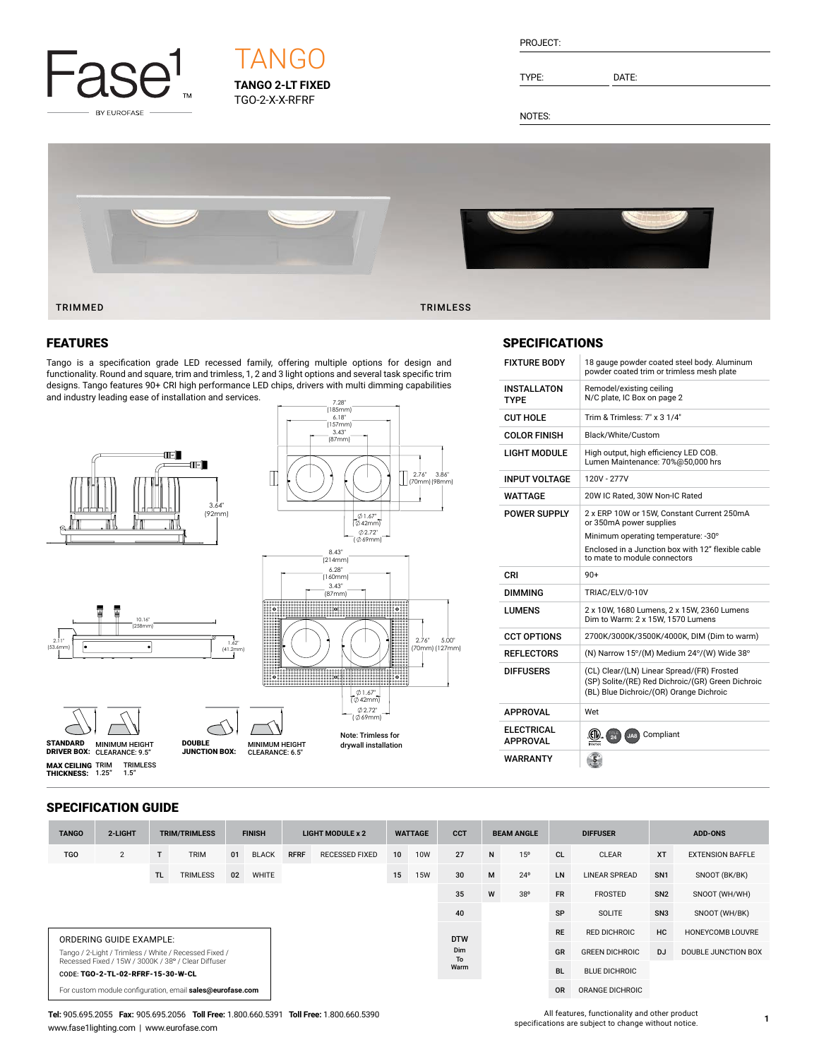

# **TANGO 2-LT FIXED** TGO-2-X-X-RFRF **TANG**

| PROJECT: |  |
|----------|--|
|          |  |

TYPE: DATE:

NOTES:



#### FEATURES

Tango is a specification grade LED recessed family, offering multiple options for design and functionality. Round and square, trim and trimless, 1, 2 and 3 light options and several task specific trim designs. Tango features 90+ CRI high performance LED chips, drivers with multi dimming capabilities and industry leading ease of installation and services.



#### **SPECIFICATIONS**

| <b>FIXTURE BODY</b>           | 18 gauge powder coated steel body. Aluminum<br>powder coated trim or trimless mesh plate                                                   |
|-------------------------------|--------------------------------------------------------------------------------------------------------------------------------------------|
| <b>INSTALLATON</b><br>TYPF    | Remodel/existing ceiling<br>N/C plate, IC Box on page 2                                                                                    |
| CUT HOLF                      | Trim & Trimless: 7" x 3 1/4"                                                                                                               |
| <b>COLOR FINISH</b>           | Black/White/Custom                                                                                                                         |
| LIGHT MODULE                  | High output, high efficiency LED COB.<br>Lumen Maintenance: 70%@50,000 hrs                                                                 |
| <b>INPUT VOLTAGE</b>          | 120V - 277V                                                                                                                                |
| WATTAGE                       | 20W IC Rated, 30W Non-IC Rated                                                                                                             |
| <b>POWER SUPPLY</b>           | 2 x ERP 10W or 15W, Constant Current 250mA<br>or 350mA power supplies                                                                      |
|                               | Minimum operating temperature: -30°                                                                                                        |
|                               | Enclosed in a Junction box with 12" flexible cable<br>to mate to module connectors                                                         |
| CRI                           | $90+$                                                                                                                                      |
| DIMMING                       | TRIAC/ELV/0-10V                                                                                                                            |
| LUMENS                        | 2 x 10W, 1680 Lumens, 2 x 15W, 2360 Lumens<br>Dim to Warm: 2 x 15W, 1570 Lumens                                                            |
| <b>CCT OPTIONS</b>            | 2700K/3000K/3500K/4000K, DIM (Dim to warm)                                                                                                 |
| <b>REFLECTORS</b>             | (N) Narrow 15°/(M) Medium 24°/(W) Wide 38°                                                                                                 |
| <b>DIFFUSERS</b>              | (CL) Clear/(LN) Linear Spread/(FR) Frosted<br>(SP) Solite/(RE) Red Dichroic/(GR) Green Dichroic<br>(BL) Blue Dichroic/(OR) Orange Dichroic |
| <b>APPROVAL</b>               | Wet                                                                                                                                        |
| <b>ELECTRICAL</b><br>APPROVAL | JA8 Compliant                                                                                                                              |
| WARRANTY                      |                                                                                                                                            |

#### SPECIFICATION GUIDE

TRIMLESS 1.5"

**MAX CEILING** TRIM<br>**THICKNESS:** 1.25"

| <b>TANGO</b>                                                                             | 2-LIGHT        |           | <b>TRIM/TRIMLESS</b> |    | <b>FINISH</b> |             | <b>LIGHT MODULE x 2</b> |           | <b>WATTAGE</b> | <b>CCT</b> |                 | <b>BEAM ANGLE</b>     |           | <b>DIFFUSER</b>         | <b>ADD-ONS</b>  |                         |
|------------------------------------------------------------------------------------------|----------------|-----------|----------------------|----|---------------|-------------|-------------------------|-----------|----------------|------------|-----------------|-----------------------|-----------|-------------------------|-----------------|-------------------------|
| <b>TGO</b>                                                                               | $\overline{2}$ |           | <b>TRIM</b>          | 01 | <b>BLACK</b>  | <b>RFRF</b> | <b>RECESSED FIXED</b>   | 10        | <b>10W</b>     | 27         | N               | 15 <sup>o</sup>       | <b>CL</b> | <b>CLEAR</b>            | <b>XT</b>       | <b>EXTENSION BAFFLE</b> |
|                                                                                          |                | <b>TL</b> | <b>TRIMLESS</b>      | 02 | WHITE         |             |                         | 15        | <b>15W</b>     | 30         | M               | $24^{\circ}$          | <b>LN</b> | <b>LINEAR SPREAD</b>    | SN <sub>1</sub> | SNOOT (BK/BK)           |
|                                                                                          |                |           |                      |    |               |             |                         |           |                | 35         | W               | 38°                   | <b>FR</b> | <b>FROSTED</b>          | SN <sub>2</sub> | SNOOT (WH/WH)           |
|                                                                                          |                |           |                      |    |               |             |                         |           |                | 40         |                 |                       | SP        | <b>SOLITE</b>           | SN <sub>3</sub> | SNOOT (WH/BK)           |
| ORDERING GUIDE EXAMPLE:                                                                  |                |           |                      |    |               |             | <b>DTW</b>              |           |                |            | <b>RE</b>       | <b>RED DICHROIC</b>   | HC        | <b>HONEYCOMB LOUVRE</b> |                 |                         |
| Tango / 2-Light / Trimless / White / Recessed Fixed /                                    |                |           |                      |    |               |             |                         | Dim<br>To |                |            | GR              | <b>GREEN DICHROIC</b> | D.J       | DOUBLE JUNCTION BOX     |                 |                         |
| Recessed Fixed / 15W / 3000K / 38° / Clear Diffuser<br>CODE: TGO-2-TL-02-RFRF-15-30-W-CL |                |           |                      |    |               |             |                         | Warm      |                |            | <b>BL</b>       | <b>BLUE DICHROIC</b>  |           |                         |                 |                         |
| For custom module configuration, email sales@eurofase.com                                |                |           |                      |    |               |             |                         |           |                | <b>OR</b>  | ORANGE DICHROIC |                       |           |                         |                 |                         |

**Tel:** 905.695.2055 **Fax:** 905.695.2056 **Toll Free:** 1.800.660.5391 **Toll Free:** 1.800.660.5390 www.fase1lighting.com | www.eurofase.com

All features, functionality and other product specifications are subject to change without notice.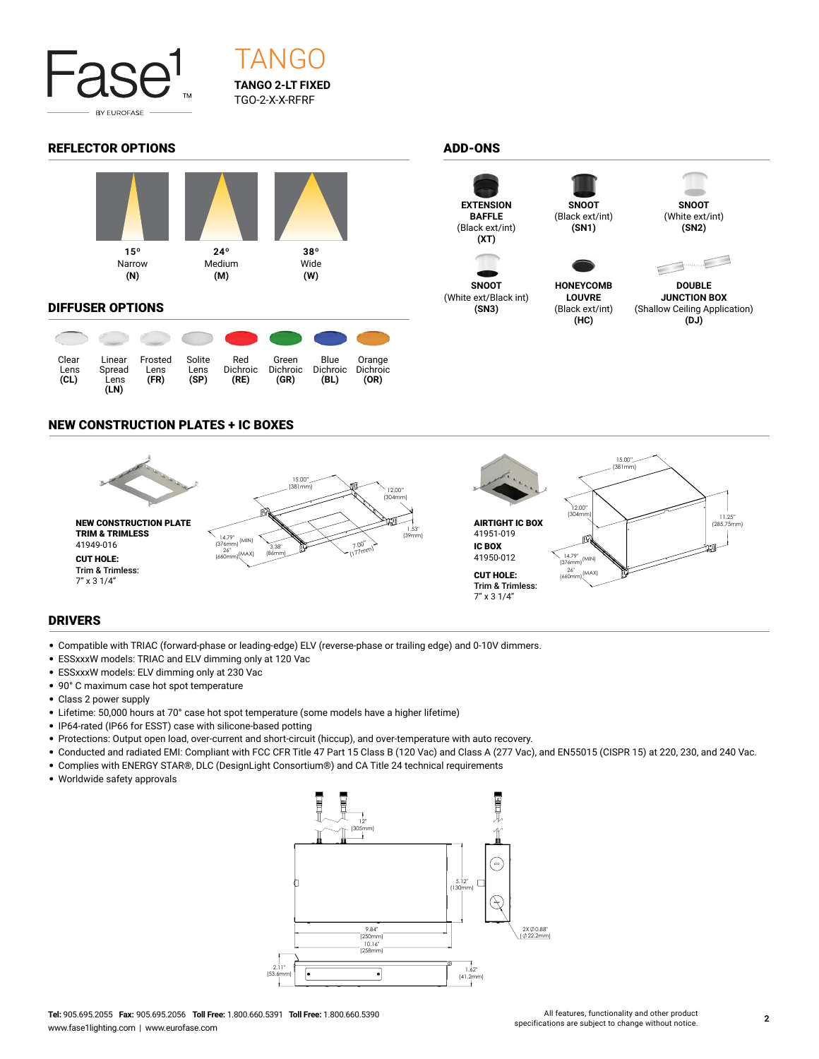

# **TANGO 2-LT FIXED** TGO-2-X-X-RFRF TANG

## REFLECTOR OPTIONS ADD-ONS



#### DIFFUSER OPTIONS

| Clear<br>Lens<br>CL) | Linear<br>Spread<br>Lens<br>(LN) | Frosted<br>Lens<br>(FR) | Solite<br>Lens<br>(SP) | Red<br><b>Dichroic</b><br>(RE) | Green<br><b>Dichroic</b><br>(GR) | Blue<br><b>Dichroic</b><br>(BL) | Orange<br>Dichroic<br>(OR) |
|----------------------|----------------------------------|-------------------------|------------------------|--------------------------------|----------------------------------|---------------------------------|----------------------------|



**SNOOT** (White ext/Black int) **(SN3)**



(Black ext/int) **(SN1)**

**HONEYCOMB LOUVRE** (Black ext/int) **(HC)**



(White ext/int) **(SN2)**



**DOUBLE JUNCTION BOX** (Shallow Ceiling Application) **(DJ)**

## NEW CONSTRUCTION PLATES + IC BOXES



## DRIVERS

- Compatible with TRIAC (forward-phase or leading-edge) ELV (reverse-phase or trailing edge) and 0-10V dimmers.
- ESSxxxW models: TRIAC and ELV dimming only at 120 Vac
- ESSxxxW models: ELV dimming only at 230 Vac
- 90° C maximum case hot spot temperature
- Class 2 power supply
- Lifetime: 50,000 hours at 70° case hot spot temperature (some models have a higher lifetime)
- IP64-rated (IP66 for ESST) case with silicone-based potting
- Protections: Output open load, over-current and short-circuit (hiccup), and over-temperature with auto recovery.
- Conducted and radiated EMI: Compliant with FCC CFR Title 47 Part 15 Class B (120 Vac) and Class A (277 Vac), and EN55015 (CISPR 15) at 220, 230, and 240 Vac.
- Complies with ENERGY STAR®, DLC (DesignLight Consortium®) and CA Title 24 technical requirements
- Worldwide safety approvals